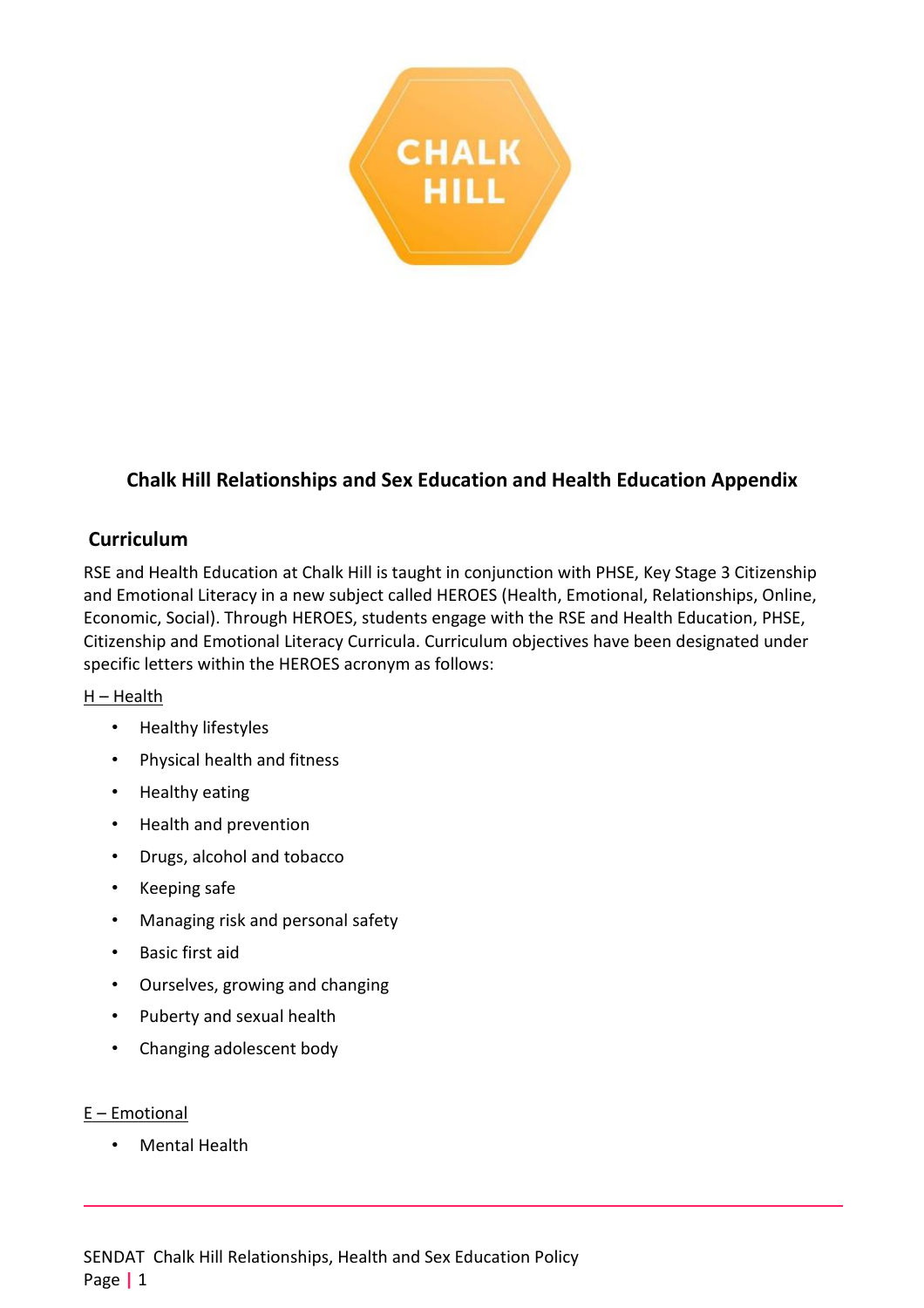

# **Chalk Hill Relationships and Sex Education and Health Education Appendix**

## **Curriculum**

RSE and Health Education at Chalk Hill is taught in conjunction with PHSE, Key Stage 3 Citizenship and Emotional Literacy in a new subject called HEROES (Health, Emotional, Relationships, Online, Economic, Social). Through HEROES, students engage with the RSE and Health Education, PHSE, Citizenship and Emotional Literacy Curricula. Curriculum objectives have been designated under specific letters within the HEROES acronym as follows:

#### H – Health

- Healthy lifestyles
- Physical health and fitness
- Healthy eating
- Health and prevention
- Drugs, alcohol and tobacco
- Keeping safe
- Managing risk and personal safety
- Basic first aid
- Ourselves, growing and changing
- Puberty and sexual health
- Changing adolescent body

#### E – Emotional

• Mental Health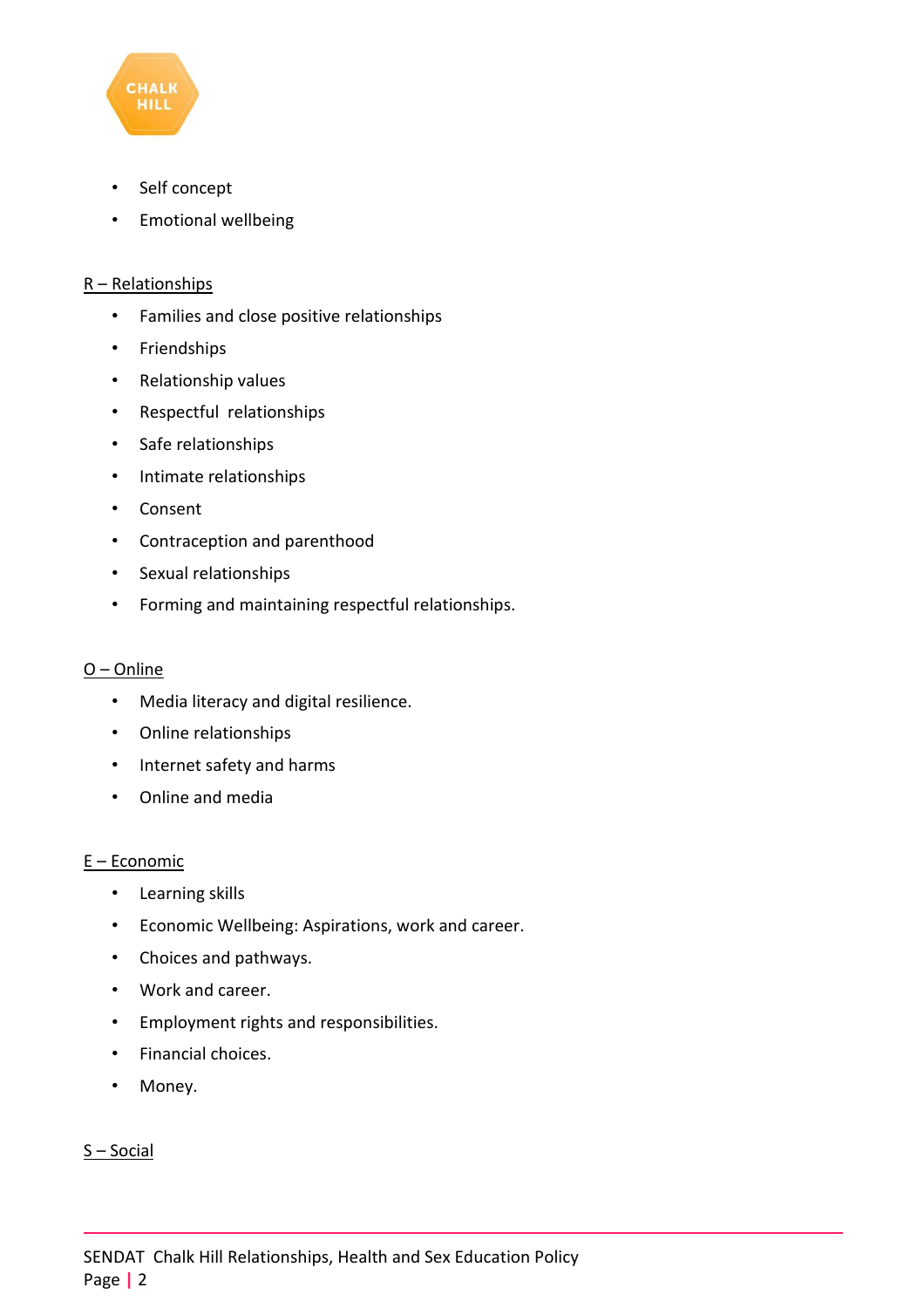

- Self concept
- Emotional wellbeing

#### R – Relationships

- Families and close positive relationships
- Friendships
- Relationship values
- Respectful relationships
- Safe relationships
- Intimate relationships
- Consent
- Contraception and parenthood
- Sexual relationships
- Forming and maintaining respectful relationships.

#### O – Online

- Media literacy and digital resilience.
- Online relationships
- Internet safety and harms
- Online and media

#### E – Economic

- Learning skills
- Economic Wellbeing: Aspirations, work and career.
- Choices and pathways.
- Work and career.
- Employment rights and responsibilities.
- Financial choices.
- Money.

#### $S - Social$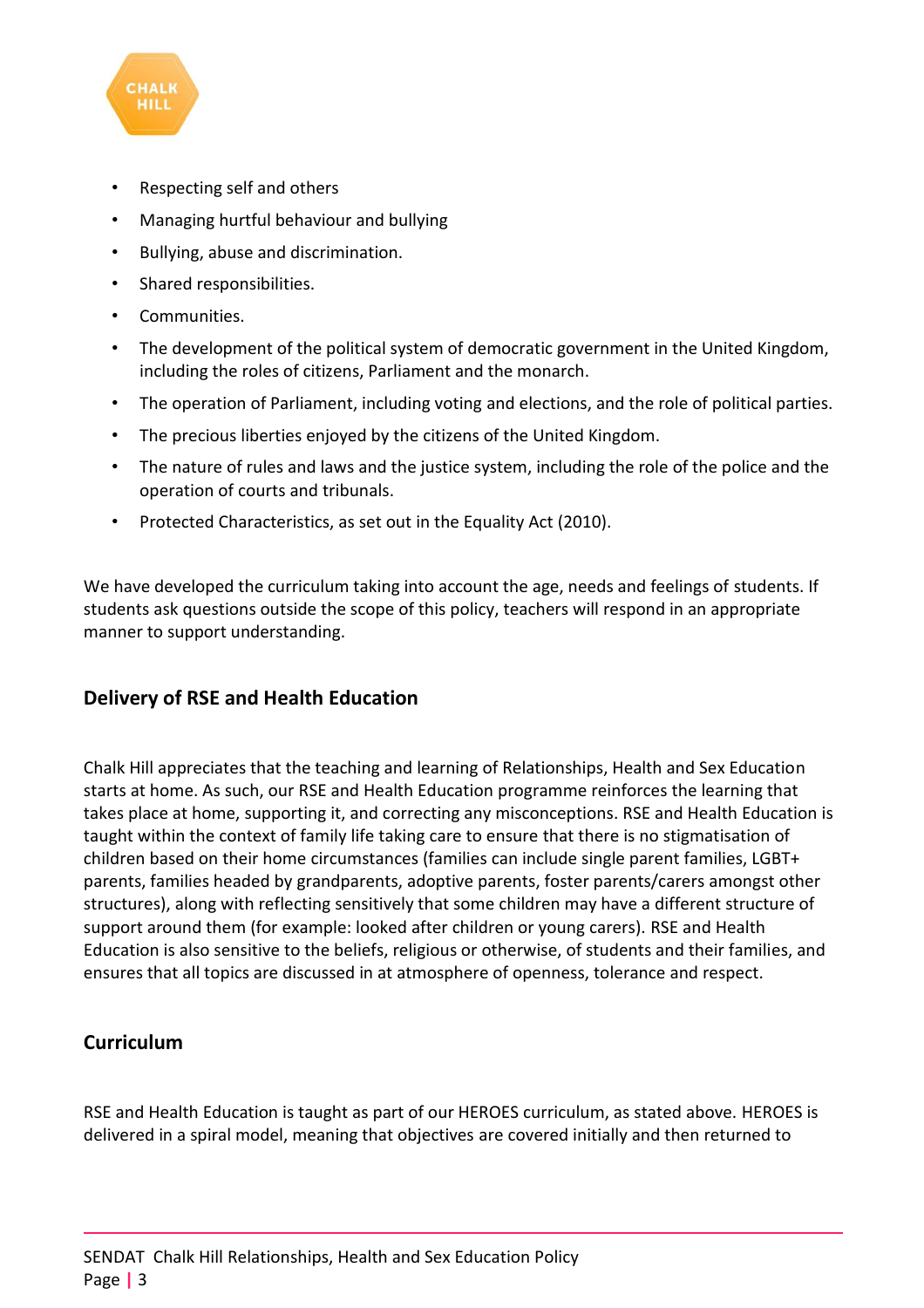

- Respecting self and others
- Managing hurtful behaviour and bullying
- Bullying, abuse and discrimination.
- Shared responsibilities.
- Communities.
- The development of the political system of democratic government in the United Kingdom, including the roles of citizens, Parliament and the monarch.
- The operation of Parliament, including voting and elections, and the role of political parties.
- The precious liberties enjoyed by the citizens of the United Kingdom.
- The nature of rules and laws and the justice system, including the role of the police and the operation of courts and tribunals.
- Protected Characteristics, as set out in the Equality Act (2010).

We have developed the curriculum taking into account the age, needs and feelings of students. If students ask questions outside the scope of this policy, teachers will respond in an appropriate manner to support understanding.

# **Delivery of RSE and Health Education**

Chalk Hill appreciates that the teaching and learning of Relationships, Health and Sex Education starts at home. As such, our RSE and Health Education programme reinforces the learning that takes place at home, supporting it, and correcting any misconceptions. RSE and Health Education is taught within the context of family life taking care to ensure that there is no stigmatisation of children based on their home circumstances (families can include single parent families, LGBT+ parents, families headed by grandparents, adoptive parents, foster parents/carers amongst other structures), along with reflecting sensitively that some children may have a different structure of support around them (for example: looked after children or young carers). RSE and Health Education is also sensitive to the beliefs, religious or otherwise, of students and their families, and ensures that all topics are discussed in at atmosphere of openness, tolerance and respect.

### **Curriculum**

RSE and Health Education is taught as part of our HEROES curriculum, as stated above. HEROES is delivered in a spiral model, meaning that objectives are covered initially and then returned to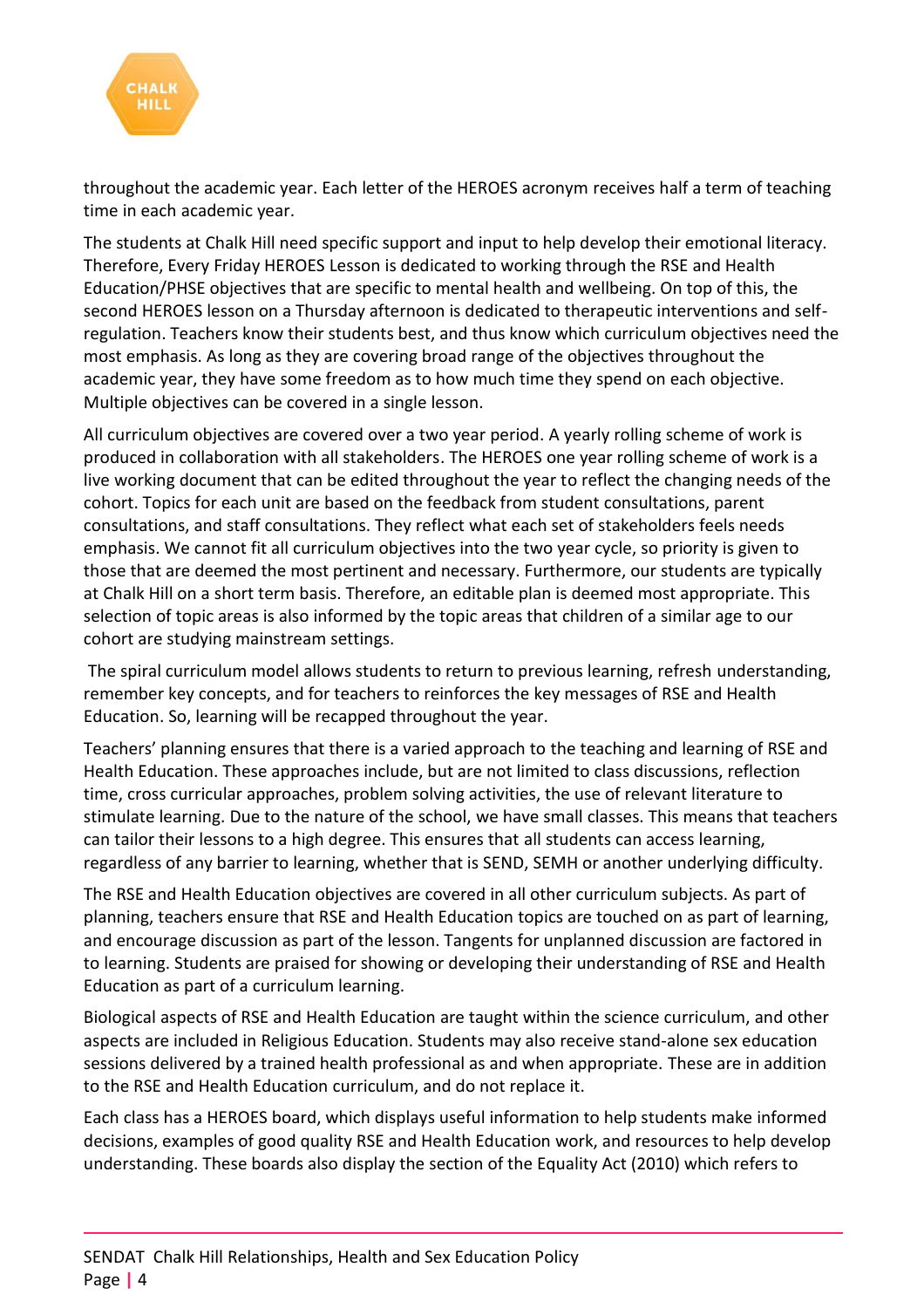

throughout the academic year. Each letter of the HEROES acronym receives half a term of teaching time in each academic year.

The students at Chalk Hill need specific support and input to help develop their emotional literacy. Therefore, Every Friday HEROES Lesson is dedicated to working through the RSE and Health Education/PHSE objectives that are specific to mental health and wellbeing. On top of this, the second HEROES lesson on a Thursday afternoon is dedicated to therapeutic interventions and selfregulation. Teachers know their students best, and thus know which curriculum objectives need the most emphasis. As long as they are covering broad range of the objectives throughout the academic year, they have some freedom as to how much time they spend on each objective. Multiple objectives can be covered in a single lesson.

All curriculum objectives are covered over a two year period. A yearly rolling scheme of work is produced in collaboration with all stakeholders. The HEROES one year rolling scheme of work is a live working document that can be edited throughout the year to reflect the changing needs of the cohort. Topics for each unit are based on the feedback from student consultations, parent consultations, and staff consultations. They reflect what each set of stakeholders feels needs emphasis. We cannot fit all curriculum objectives into the two year cycle, so priority is given to those that are deemed the most pertinent and necessary. Furthermore, our students are typically at Chalk Hill on a short term basis. Therefore, an editable plan is deemed most appropriate. This selection of topic areas is also informed by the topic areas that children of a similar age to our cohort are studying mainstream settings.

The spiral curriculum model allows students to return to previous learning, refresh understanding, remember key concepts, and for teachers to reinforces the key messages of RSE and Health Education. So, learning will be recapped throughout the year.

Teachers' planning ensures that there is a varied approach to the teaching and learning of RSE and Health Education. These approaches include, but are not limited to class discussions, reflection time, cross curricular approaches, problem solving activities, the use of relevant literature to stimulate learning. Due to the nature of the school, we have small classes. This means that teachers can tailor their lessons to a high degree. This ensures that all students can access learning, regardless of any barrier to learning, whether that is SEND, SEMH or another underlying difficulty.

The RSE and Health Education objectives are covered in all other curriculum subjects. As part of planning, teachers ensure that RSE and Health Education topics are touched on as part of learning, and encourage discussion as part of the lesson. Tangents for unplanned discussion are factored in to learning. Students are praised for showing or developing their understanding of RSE and Health Education as part of a curriculum learning.

Biological aspects of RSE and Health Education are taught within the science curriculum, and other aspects are included in Religious Education. Students may also receive stand-alone sex education sessions delivered by a trained health professional as and when appropriate. These are in addition to the RSE and Health Education curriculum, and do not replace it.

Each class has a HEROES board, which displays useful information to help students make informed decisions, examples of good quality RSE and Health Education work, and resources to help develop understanding. These boards also display the section of the Equality Act (2010) which refers to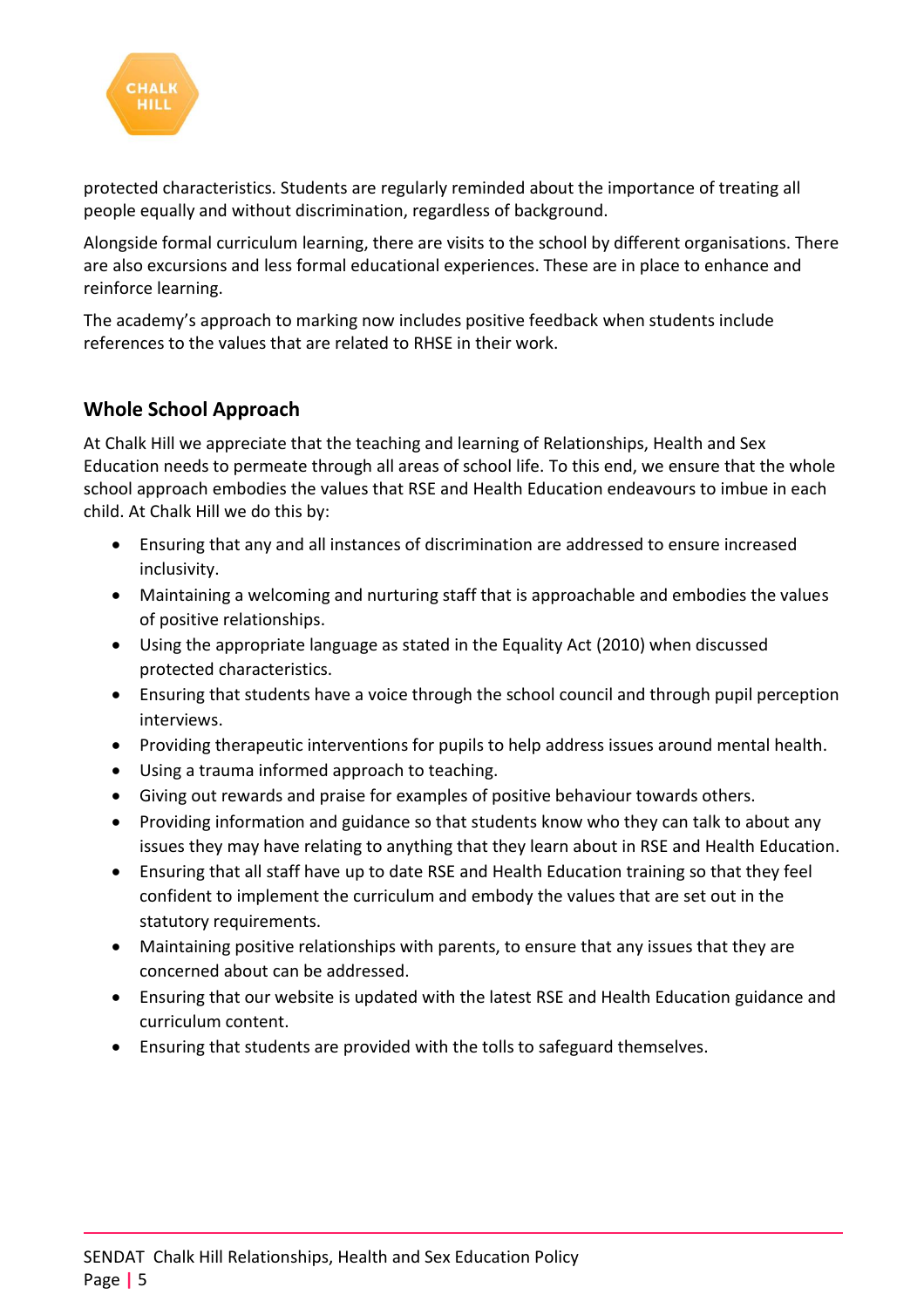

protected characteristics. Students are regularly reminded about the importance of treating all people equally and without discrimination, regardless of background.

Alongside formal curriculum learning, there are visits to the school by different organisations. There are also excursions and less formal educational experiences. These are in place to enhance and reinforce learning.

The academy's approach to marking now includes positive feedback when students include references to the values that are related to RHSE in their work.

# **Whole School Approach**

At Chalk Hill we appreciate that the teaching and learning of Relationships, Health and Sex Education needs to permeate through all areas of school life. To this end, we ensure that the whole school approach embodies the values that RSE and Health Education endeavours to imbue in each child. At Chalk Hill we do this by:

- Ensuring that any and all instances of discrimination are addressed to ensure increased inclusivity.
- Maintaining a welcoming and nurturing staff that is approachable and embodies the values of positive relationships.
- Using the appropriate language as stated in the Equality Act (2010) when discussed protected characteristics.
- Ensuring that students have a voice through the school council and through pupil perception interviews.
- Providing therapeutic interventions for pupils to help address issues around mental health.
- Using a trauma informed approach to teaching.
- Giving out rewards and praise for examples of positive behaviour towards others.
- Providing information and guidance so that students know who they can talk to about any issues they may have relating to anything that they learn about in RSE and Health Education.
- Ensuring that all staff have up to date RSE and Health Education training so that they feel confident to implement the curriculum and embody the values that are set out in the statutory requirements.
- Maintaining positive relationships with parents, to ensure that any issues that they are concerned about can be addressed.
- Ensuring that our website is updated with the latest RSE and Health Education guidance and curriculum content.
- Ensuring that students are provided with the tolls to safeguard themselves.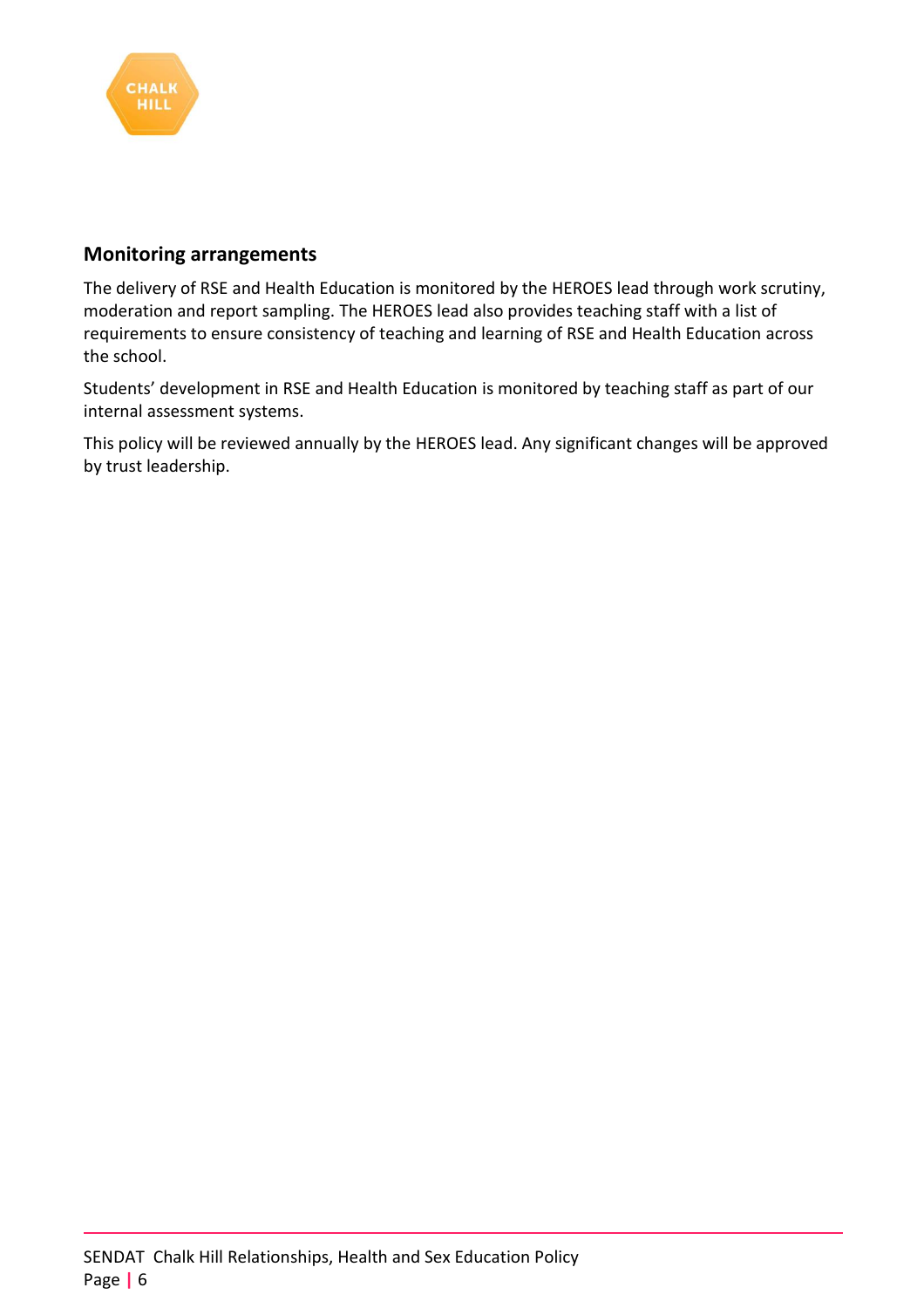

### **Monitoring arrangements**

The delivery of RSE and Health Education is monitored by the HEROES lead through work scrutiny, moderation and report sampling. The HEROES lead also provides teaching staff with a list of requirements to ensure consistency of teaching and learning of RSE and Health Education across the school.

Students' development in RSE and Health Education is monitored by teaching staff as part of our internal assessment systems.

This policy will be reviewed annually by the HEROES lead. Any significant changes will be approved by trust leadership.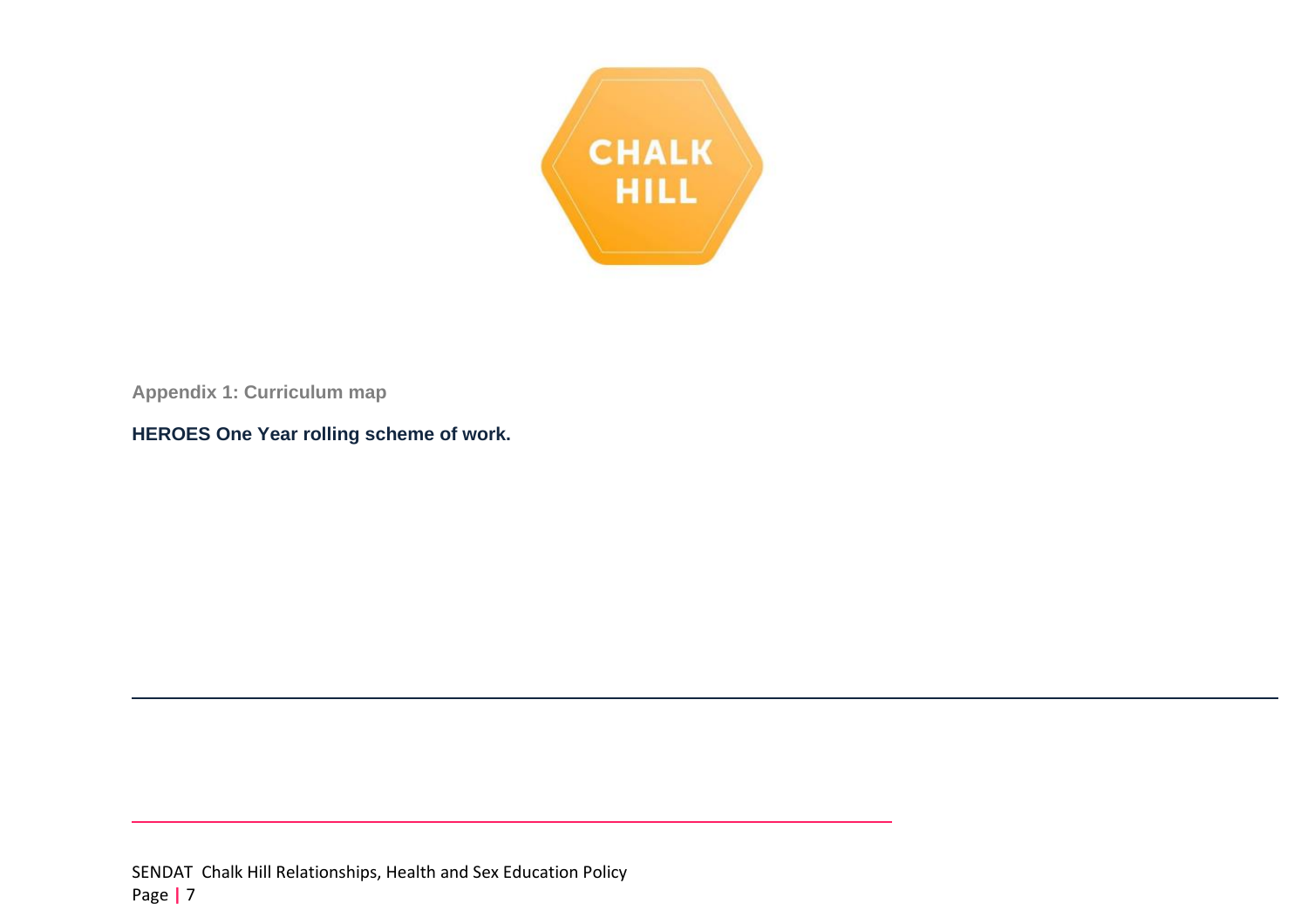

**Appendix 1: Curriculum map**

**HEROES One Year rolling scheme of work.**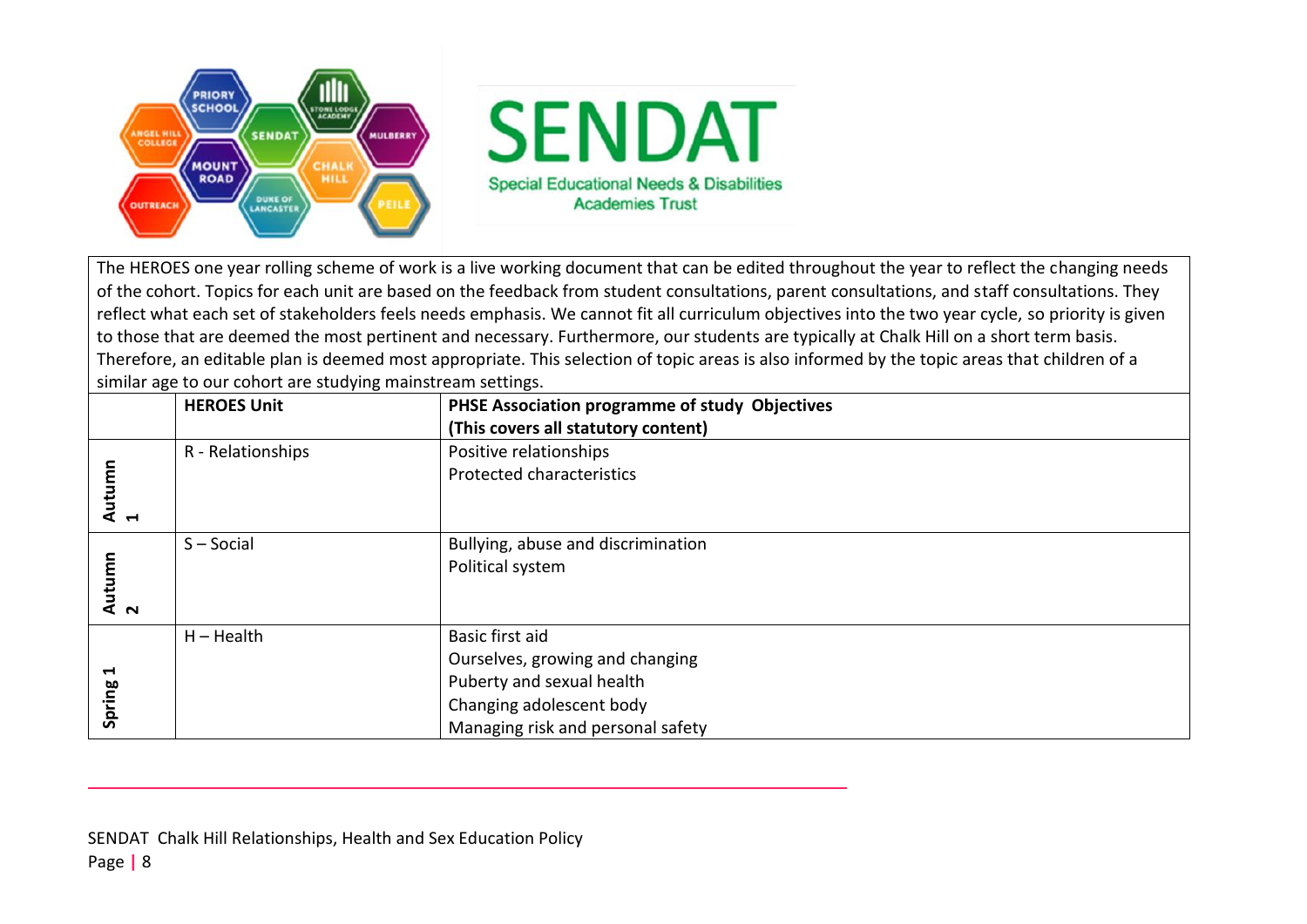

The HEROES one year rolling scheme of work is a live working document that can be edited throughout the year to reflect the changing needs of the cohort. Topics for each unit are based on the feedback from student consultations, parent consultations, and staff consultations. They reflect what each set of stakeholders feels needs emphasis. We cannot fit all curriculum objectives into the two year cycle, so priority is given to those that are deemed the most pertinent and necessary. Furthermore, our students are typically at Chalk Hill on a short term basis. Therefore, an editable plan is deemed most appropriate. This selection of topic areas is also informed by the topic areas that children of a similar age to our cohort are studying mainstream settings.

|                                             | <b>HEROES Unit</b> | PHSE Association programme of study Objectives |  |
|---------------------------------------------|--------------------|------------------------------------------------|--|
|                                             |                    | (This covers all statutory content)            |  |
| R - Relationships<br>Positive relationships |                    |                                                |  |
| Autumn<br>1                                 |                    | <b>Protected characteristics</b>               |  |
|                                             |                    |                                                |  |
|                                             | $S - Social$       | Bullying, abuse and discrimination             |  |
|                                             |                    | Political system                               |  |
| Autumn<br>2                                 |                    |                                                |  |
|                                             |                    |                                                |  |
|                                             | $H - Health$       | Basic first aid                                |  |
|                                             |                    | Ourselves, growing and changing                |  |
| $\blacktriangleright$                       |                    | Puberty and sexual health                      |  |
| Spring                                      |                    | Changing adolescent body                       |  |
|                                             |                    | Managing risk and personal safety              |  |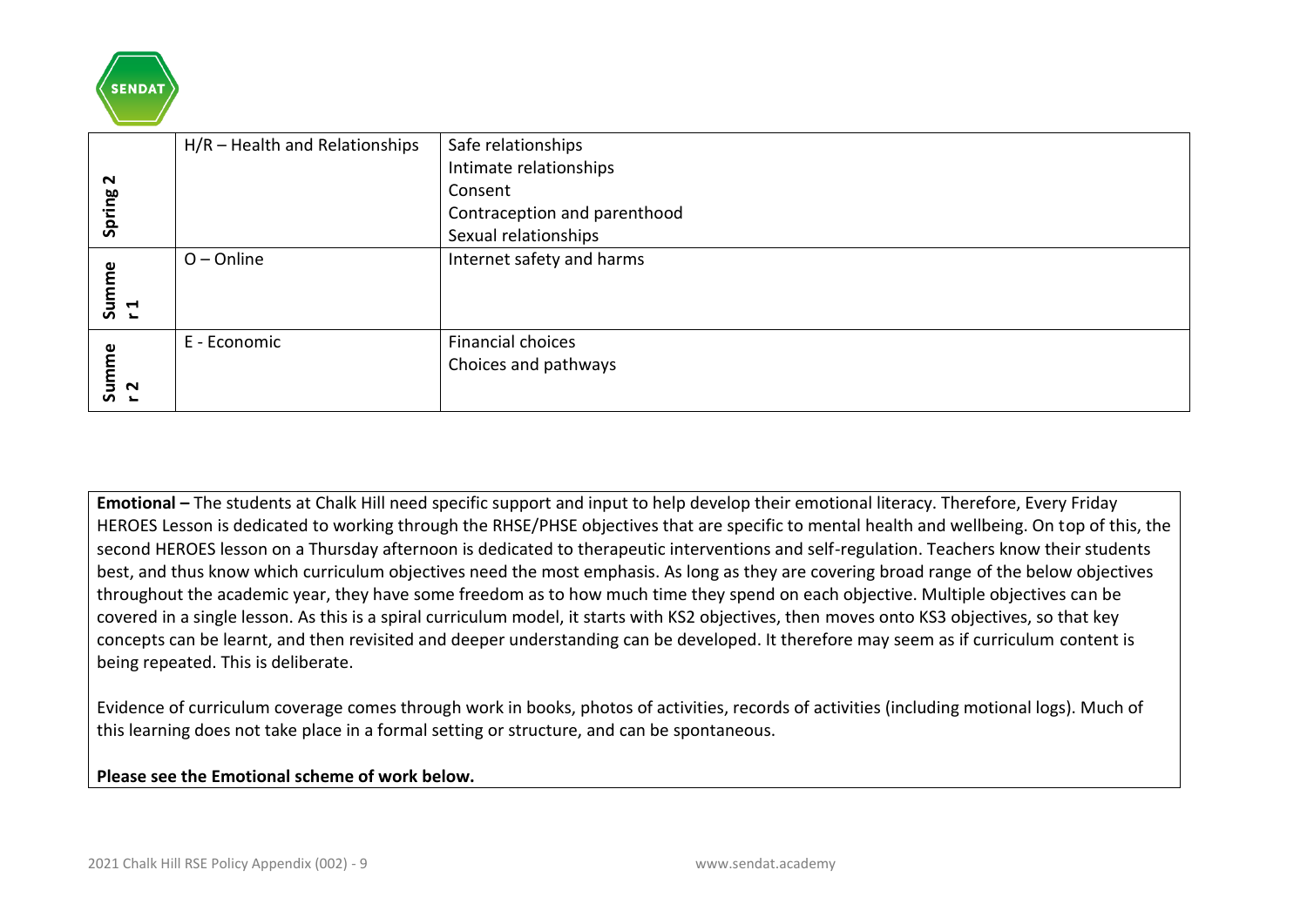

|                                                                                                                                                                                                                                                                                                                                                                                                                                                                                                                                                                                                                                                                                                                                                                                                                                                                                                                                                                                                                                                         | $H/R$ – Health and Relationships               | Safe relationships           |  |  |  |
|---------------------------------------------------------------------------------------------------------------------------------------------------------------------------------------------------------------------------------------------------------------------------------------------------------------------------------------------------------------------------------------------------------------------------------------------------------------------------------------------------------------------------------------------------------------------------------------------------------------------------------------------------------------------------------------------------------------------------------------------------------------------------------------------------------------------------------------------------------------------------------------------------------------------------------------------------------------------------------------------------------------------------------------------------------|------------------------------------------------|------------------------------|--|--|--|
|                                                                                                                                                                                                                                                                                                                                                                                                                                                                                                                                                                                                                                                                                                                                                                                                                                                                                                                                                                                                                                                         |                                                | Intimate relationships       |  |  |  |
| Spring 2                                                                                                                                                                                                                                                                                                                                                                                                                                                                                                                                                                                                                                                                                                                                                                                                                                                                                                                                                                                                                                                |                                                | Consent                      |  |  |  |
|                                                                                                                                                                                                                                                                                                                                                                                                                                                                                                                                                                                                                                                                                                                                                                                                                                                                                                                                                                                                                                                         |                                                | Contraception and parenthood |  |  |  |
|                                                                                                                                                                                                                                                                                                                                                                                                                                                                                                                                                                                                                                                                                                                                                                                                                                                                                                                                                                                                                                                         |                                                | Sexual relationships         |  |  |  |
| Summe<br>$\mathbf{r}$                                                                                                                                                                                                                                                                                                                                                                                                                                                                                                                                                                                                                                                                                                                                                                                                                                                                                                                                                                                                                                   | $O$ – Online                                   | Internet safety and harms    |  |  |  |
|                                                                                                                                                                                                                                                                                                                                                                                                                                                                                                                                                                                                                                                                                                                                                                                                                                                                                                                                                                                                                                                         | E - Economic                                   | <b>Financial choices</b>     |  |  |  |
|                                                                                                                                                                                                                                                                                                                                                                                                                                                                                                                                                                                                                                                                                                                                                                                                                                                                                                                                                                                                                                                         |                                                | Choices and pathways         |  |  |  |
| Summe<br>r2                                                                                                                                                                                                                                                                                                                                                                                                                                                                                                                                                                                                                                                                                                                                                                                                                                                                                                                                                                                                                                             |                                                |                              |  |  |  |
| Emotional - The students at Chalk Hill need specific support and input to help develop their emotional literacy. Therefore, Every Friday<br>HEROES Lesson is dedicated to working through the RHSE/PHSE objectives that are specific to mental health and wellbeing. On top of this, the<br>second HEROES lesson on a Thursday afternoon is dedicated to therapeutic interventions and self-regulation. Teachers know their students<br>best, and thus know which curriculum objectives need the most emphasis. As long as they are covering broad range of the below objectives<br>throughout the academic year, they have some freedom as to how much time they spend on each objective. Multiple objectives can be<br>covered in a single lesson. As this is a spiral curriculum model, it starts with KS2 objectives, then moves onto KS3 objectives, so that key<br>concepts can be learnt, and then revisited and deeper understanding can be developed. It therefore may seem as if curriculum content is<br>being repeated. This is deliberate. |                                                |                              |  |  |  |
| Evidence of curriculum coverage comes through work in books, photos of activities, records of activities (including motional logs). Much of<br>this learning does not take place in a formal setting or structure, and can be spontaneous.                                                                                                                                                                                                                                                                                                                                                                                                                                                                                                                                                                                                                                                                                                                                                                                                              |                                                |                              |  |  |  |
|                                                                                                                                                                                                                                                                                                                                                                                                                                                                                                                                                                                                                                                                                                                                                                                                                                                                                                                                                                                                                                                         | Please see the Emotional scheme of work below. |                              |  |  |  |
|                                                                                                                                                                                                                                                                                                                                                                                                                                                                                                                                                                                                                                                                                                                                                                                                                                                                                                                                                                                                                                                         |                                                |                              |  |  |  |
|                                                                                                                                                                                                                                                                                                                                                                                                                                                                                                                                                                                                                                                                                                                                                                                                                                                                                                                                                                                                                                                         | 2021 Chalk Hill RSE Policy Appendix (002) - 9  | www.sendat.academy           |  |  |  |

#### **Please see the Emotional scheme of work below.**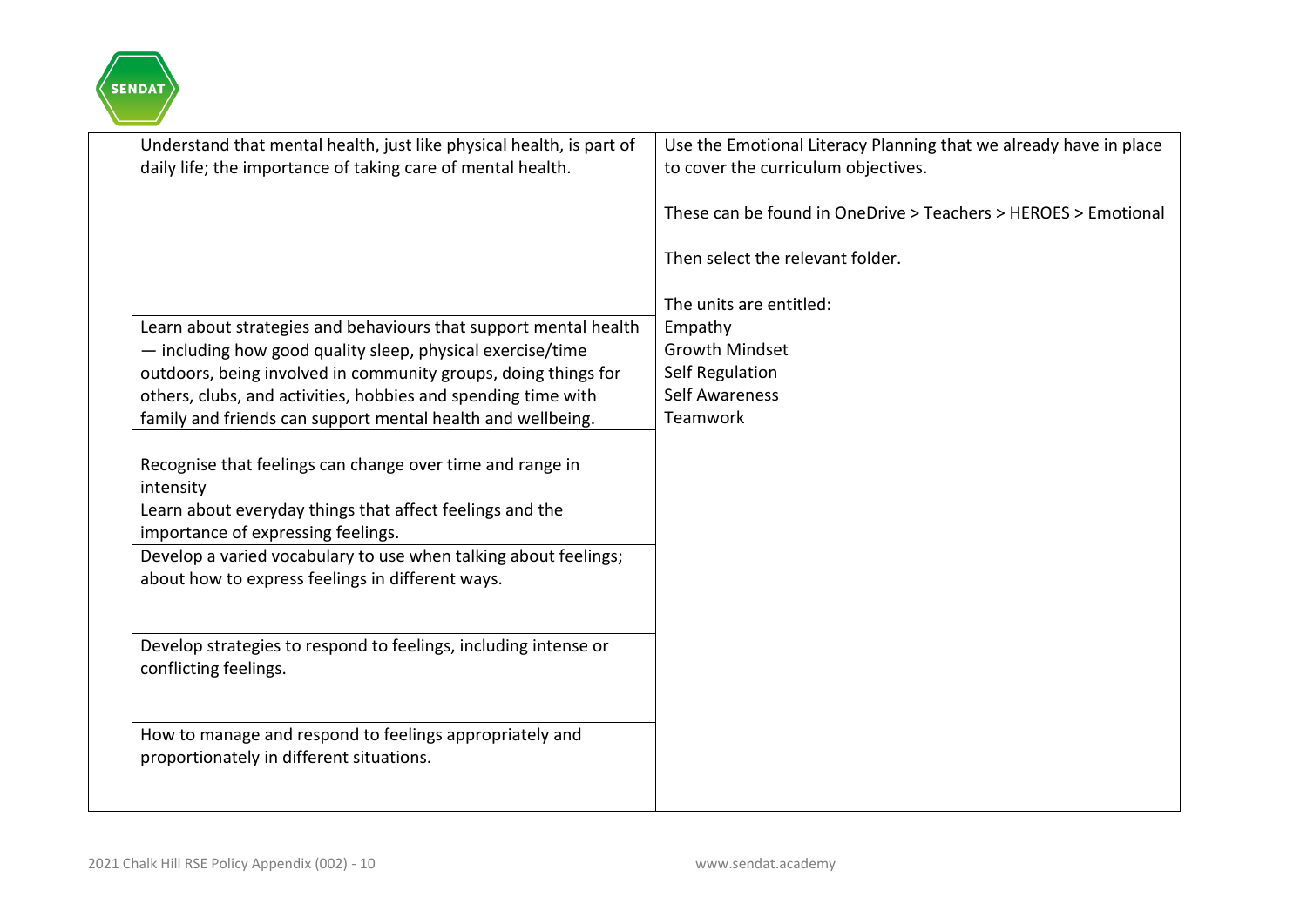

| Understand that mental health, just like physical health, is part of<br>daily life; the importance of taking care of mental health. | Use the Emotional Literacy Planning that we already have in place<br>to cover the curriculum objectives. |
|-------------------------------------------------------------------------------------------------------------------------------------|----------------------------------------------------------------------------------------------------------|
|                                                                                                                                     | These can be found in OneDrive > Teachers > HEROES > Emotional                                           |
|                                                                                                                                     | Then select the relevant folder.                                                                         |
|                                                                                                                                     | The units are entitled:                                                                                  |
| Learn about strategies and behaviours that support mental health                                                                    | Empathy                                                                                                  |
| - including how good quality sleep, physical exercise/time                                                                          | <b>Growth Mindset</b>                                                                                    |
| outdoors, being involved in community groups, doing things for                                                                      | Self Regulation                                                                                          |
| others, clubs, and activities, hobbies and spending time with                                                                       | <b>Self Awareness</b>                                                                                    |
| family and friends can support mental health and wellbeing.                                                                         | Teamwork                                                                                                 |
|                                                                                                                                     |                                                                                                          |
| Recognise that feelings can change over time and range in                                                                           |                                                                                                          |
| intensity                                                                                                                           |                                                                                                          |
| Learn about everyday things that affect feelings and the                                                                            |                                                                                                          |
| importance of expressing feelings.                                                                                                  |                                                                                                          |
| Develop a varied vocabulary to use when talking about feelings;                                                                     |                                                                                                          |
| about how to express feelings in different ways.                                                                                    |                                                                                                          |
|                                                                                                                                     |                                                                                                          |
| Develop strategies to respond to feelings, including intense or                                                                     |                                                                                                          |
| conflicting feelings.                                                                                                               |                                                                                                          |
|                                                                                                                                     |                                                                                                          |
|                                                                                                                                     |                                                                                                          |
| How to manage and respond to feelings appropriately and                                                                             |                                                                                                          |
| proportionately in different situations.                                                                                            |                                                                                                          |
|                                                                                                                                     |                                                                                                          |
|                                                                                                                                     |                                                                                                          |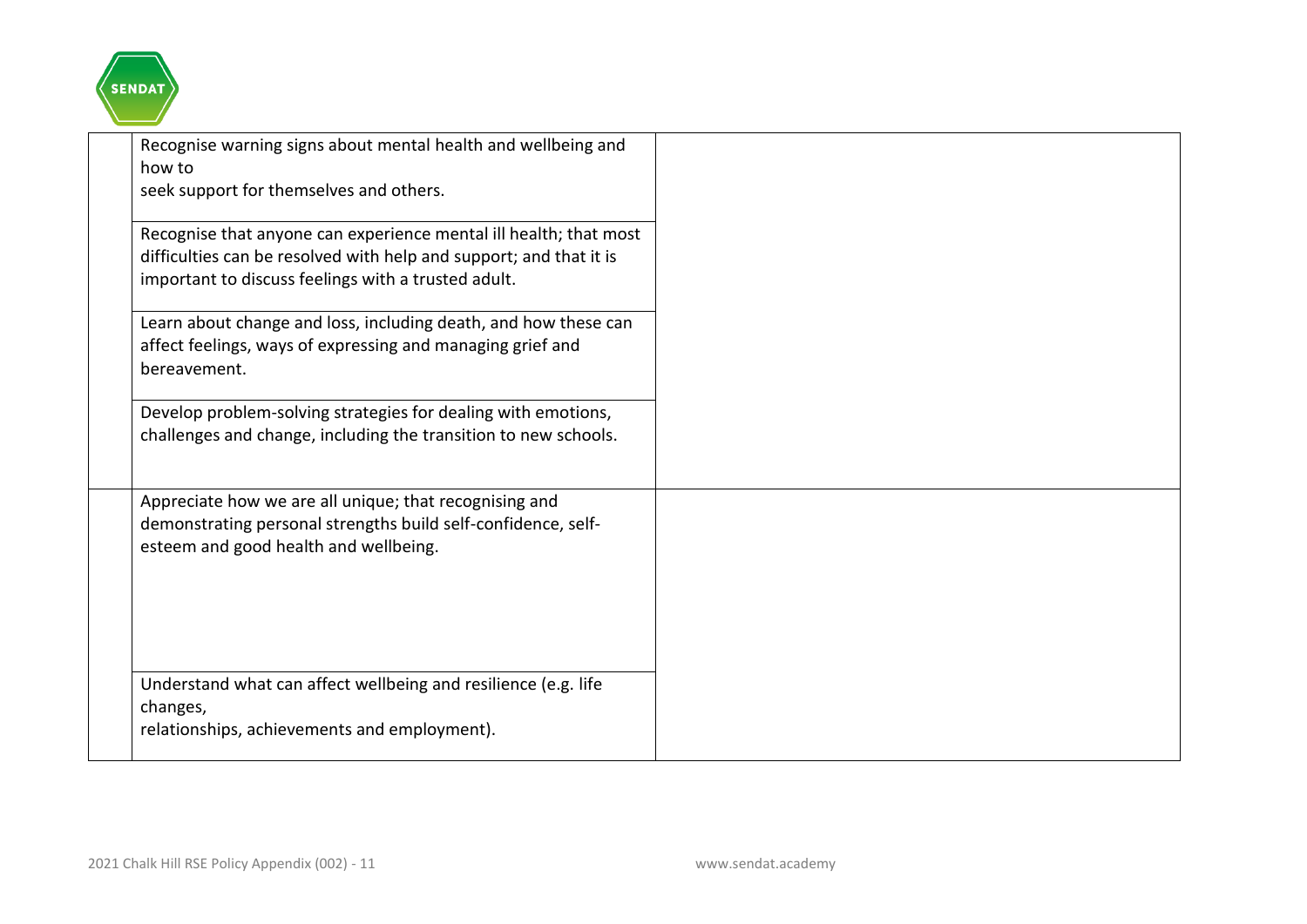

| Recognise warning signs about mental health and wellbeing and<br>how to<br>seek support for themselves and others.                                                                             |  |  |
|------------------------------------------------------------------------------------------------------------------------------------------------------------------------------------------------|--|--|
| Recognise that anyone can experience mental ill health; that most<br>difficulties can be resolved with help and support; and that it is<br>important to discuss feelings with a trusted adult. |  |  |
| Learn about change and loss, including death, and how these can<br>affect feelings, ways of expressing and managing grief and<br>bereavement.                                                  |  |  |
| Develop problem-solving strategies for dealing with emotions,<br>challenges and change, including the transition to new schools.                                                               |  |  |
| Appreciate how we are all unique; that recognising and<br>demonstrating personal strengths build self-confidence, self-<br>esteem and good health and wellbeing.                               |  |  |
| Understand what can affect wellbeing and resilience (e.g. life<br>changes,<br>relationships, achievements and employment).                                                                     |  |  |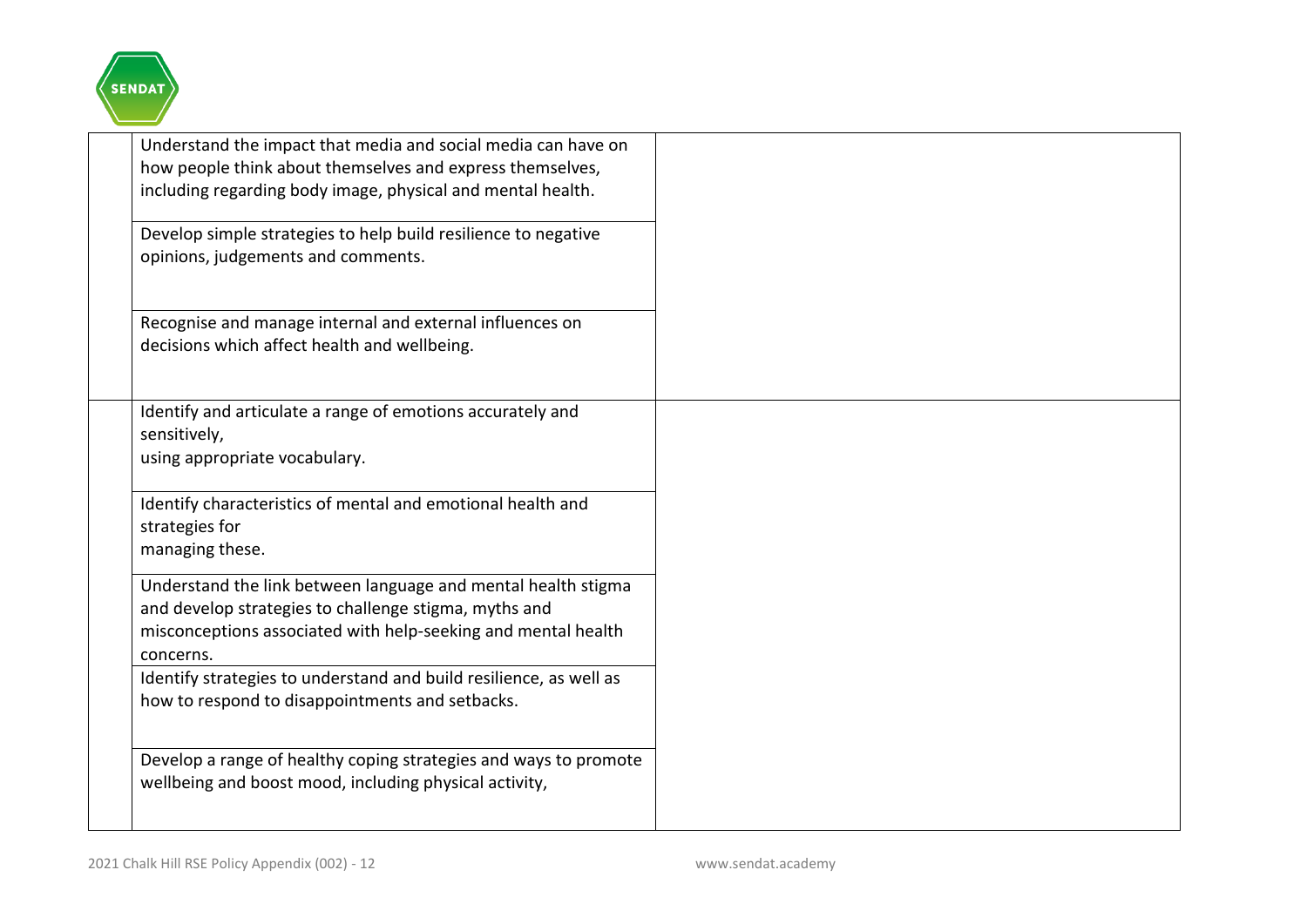

| Understand the impact that media and social media can have on<br>how people think about themselves and express themselves,<br>including regarding body image, physical and mental health.<br>Develop simple strategies to help build resilience to negative<br>opinions, judgements and comments. |  |
|---------------------------------------------------------------------------------------------------------------------------------------------------------------------------------------------------------------------------------------------------------------------------------------------------|--|
| Recognise and manage internal and external influences on<br>decisions which affect health and wellbeing.                                                                                                                                                                                          |  |
| Identify and articulate a range of emotions accurately and<br>sensitively,<br>using appropriate vocabulary.                                                                                                                                                                                       |  |
| Identify characteristics of mental and emotional health and<br>strategies for<br>managing these.                                                                                                                                                                                                  |  |
| Understand the link between language and mental health stigma<br>and develop strategies to challenge stigma, myths and<br>misconceptions associated with help-seeking and mental health<br>concerns.                                                                                              |  |
| Identify strategies to understand and build resilience, as well as<br>how to respond to disappointments and setbacks.                                                                                                                                                                             |  |
| Develop a range of healthy coping strategies and ways to promote<br>wellbeing and boost mood, including physical activity,                                                                                                                                                                        |  |